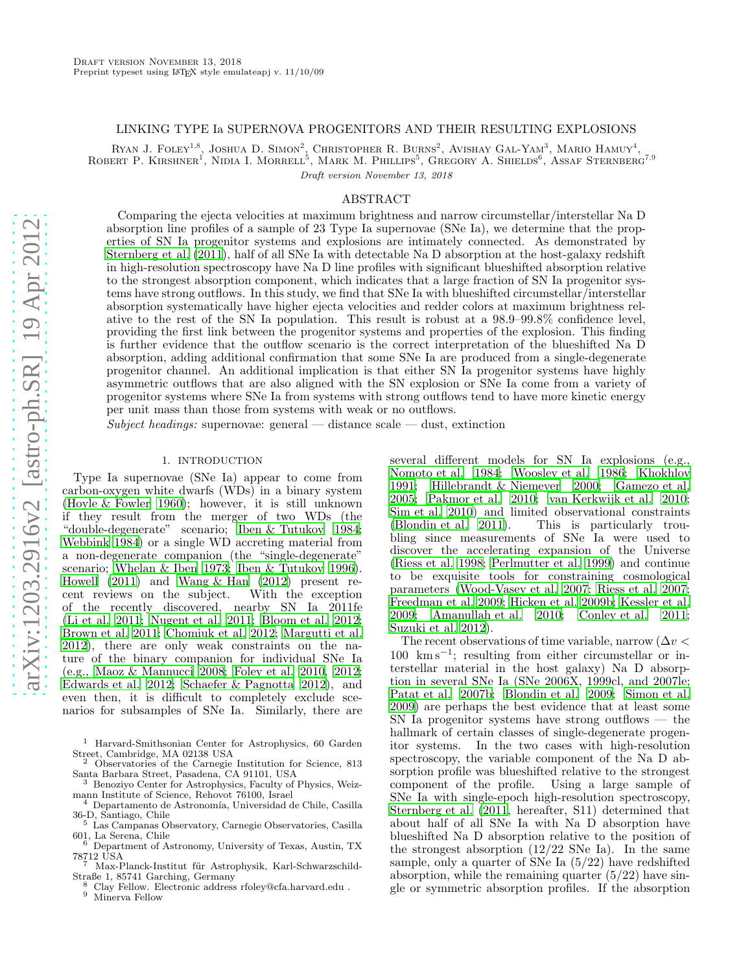# LINKING TYPE Ia SUPERNOVA PROGENITORS AND THEIR RESULTING EXPLOSIONS

RYAN J. FOLEY<sup>1,8</sup>, JOSHUA D. SIMON<sup>2</sup>, CHRISTOPHER R. BURNS<sup>2</sup>, AVISHAY GAL-YAM<sup>3</sup>, MARIO HAMUY<sup>4</sup>, ROBERT P. KIRSHNER<sup>T</sup>, NIDIA I. MORRELL<sup>5</sup>, MARK M. PHILLIPS<sup>5</sup>, GREGORY A. SHIELDS<sup>6</sup>, ASSAF STERNBERG<sup>7,9</sup> Draft version November 13, 2018

#### ABSTRACT

Comparing the ejecta velocities at maximum brightness and narrow circumstellar/interstellar Na D absorption line profiles of a sample of 23 Type Ia supernovae (SNe Ia), we determine that the properties of SN Ia progenitor systems and explosions are intimately connected. As demonstrated by [Sternberg et al. \(2011](#page-8-0)), half of all SNe Ia with detectable Na D absorption at the host-galaxy redshift in high-resolution spectroscopy have Na D line profiles with significant blueshifted absorption relative to the strongest absorption component, which indicates that a large fraction of SN Ia progenitor systems have strong outflows. In this study, we find that SNe Ia with blueshifted circumstellar/interstellar absorption systematically have higher ejecta velocities and redder colors at maximum brightness relative to the rest of the SN Ia population. This result is robust at a 98.9–99.8% confidence level, providing the first link between the progenitor systems and properties of the explosion. This finding is further evidence that the outflow scenario is the correct interpretation of the blueshifted Na D absorption, adding additional confirmation that some SNe Ia are produced from a single-degenerate progenitor channel. An additional implication is that either SN Ia progenitor systems have highly asymmetric outflows that are also aligned with the SN explosion or SNe Ia come from a variety of progenitor systems where SNe Ia from systems with strong outflows tend to have more kinetic energy per unit mass than those from systems with weak or no outflows.

Subject headings: supernovae: general — distance scale — dust, extinction

# 1. INTRODUCTION

Type Ia supernovae (SNe Ia) appear to come from carbon-oxygen white dwarfs (WDs) in a binary system [\(Hoyle & Fowler 1960\)](#page-8-1); however, it is still unknown if they result from the merger of two WDs (the "double-degenerate" scenario; [Iben & Tutukov 1984;](#page-8-2) [Webbink 1984\)](#page-9-0) or a single WD accreting material from a non-degenerate companion (the "single-degenerate" scenario; [Whelan & Iben 1973;](#page-9-1) [Iben & Tutukov 1996\)](#page-8-3). Howell  $(2011)$  and Wang & Han  $(2012)$  present recent reviews on the subject. With the exception of the recently discovered, nearby SN Ia 2011fe [\(Li et al. 2011;](#page-8-5) [Nugent et al. 2011;](#page-8-6) [Bloom et al. 2012;](#page-8-7) [Brown et al. 2011;](#page-8-8) [Chomiuk et al. 2012;](#page-8-9) [Margutti et al.](#page-8-10) [2012\)](#page-8-10), there are only weak constraints on the nature of the binary companion for individual SNe Ia (e.g., [Maoz & Mannucci 2008;](#page-8-11) [Foley et al. 2010,](#page-8-12) [2012;](#page-8-13) [Edwards et al. 2012](#page-8-14); [Schaefer & Pagnotta 2012\)](#page-8-15), and even then, it is difficult to completely exclude scenarios for subsamples of SNe Ia. Similarly, there are

- <sup>1</sup> Harvard-Smithsonian Center for Astrophysics, 60 Garden Street, Cambridge, MA 02138 USA
- Observatories of the Carnegie Institution for Science, 813 Santa Barbara Street, Pasadena, CA 91101, USA
- <sup>3</sup> Benoziyo Center for Astrophysics, Faculty of Physics, Weizmann Institute of Science, Rehovot 76100, Israel
- Departamento de Astronomía, Universidad de Chile, Casilla 36-D, Santiago, Chile
- <sup>5</sup> Las Campanas Observatory, Carnegie Observatories, Casilla 601, La Serena, Chile <sup>6</sup> Department of Astronomy, University of Texas, Austin, TX
- 78712 USA
- Max-Planck-Institut für Astrophysik, Karl-Schwarzschild-Straße 1, 85741 Garching, Germany
- <sup>8</sup> Clay Fellow. Electronic address rfoley@cfa.harvard.edu .<br><sup>9</sup> Minews Fellow.
- Minerva Fellow

several different models for SN Ia explosions (e.g., [Nomoto et al. 1984;](#page-8-16) [Woosley et al. 1986;](#page-9-3) [Khokhlov](#page-8-17) [1991;](#page-8-17) [Hillebrandt & Niemeyer 2000;](#page-8-18) [Gamezo et al.](#page-8-19) [2005;](#page-8-19) [Pakmor et al. 2010](#page-8-20); [van Kerkwijk et al. 2010](#page-8-21); [Sim et al. 2010\)](#page-8-22) and limited observational constraints<br>(Blondin et al. 2011). This is particularly trou-This is particularly troubling since measurements of SNe Ia were used to discover the accelerating expansion of the Universe [\(Riess et al. 1998;](#page-8-24) [Perlmutter et al. 1999](#page-8-25)) and continue to be exquisite tools for constraining cosmological parameters [\(Wood-Vasey et al. 2007;](#page-9-4) [Riess et al. 2007](#page-8-26); [Freedman et al. 2009](#page-8-27); [Hicken et al. 2009b](#page-8-28); [Kessler et al.](#page-8-29) [2009;](#page-8-29) [Amanullah et al. 2010](#page-8-30); [Conley et al. 2011](#page-8-31); [Suzuki et al. 2012\)](#page-8-32).

The recent observations of time variable, narrow ( $\Delta v$  < 100 km s<sup>−</sup><sup>1</sup> ; resulting from either circumstellar or interstellar material in the host galaxy) Na D absorption in several SNe Ia (SNe 2006X, 1999cl, and 2007le; [Patat et al. 2007b;](#page-8-33) [Blondin et al. 2009;](#page-8-34) [Simon et al.](#page-8-35) [2009\)](#page-8-35) are perhaps the best evidence that at least some SN Ia progenitor systems have strong outflows — the hallmark of certain classes of single-degenerate progenitor systems. In the two cases with high-resolution spectroscopy, the variable component of the Na D absorption profile was blueshifted relative to the strongest component of the profile. Using a large sample of SNe Ia with single-epoch high-resolution spectroscopy, [Sternberg et al. \(2011,](#page-8-0) hereafter, S11) determined that about half of all SNe Ia with Na D absorption have blueshifted Na D absorption relative to the position of the strongest absorption  $(12/22 \text{ SNe Ia})$ . In the same sample, only a quarter of SNe Ia (5/22) have redshifted absorption, while the remaining quarter  $(5/22)$  have single or symmetric absorption profiles. If the absorption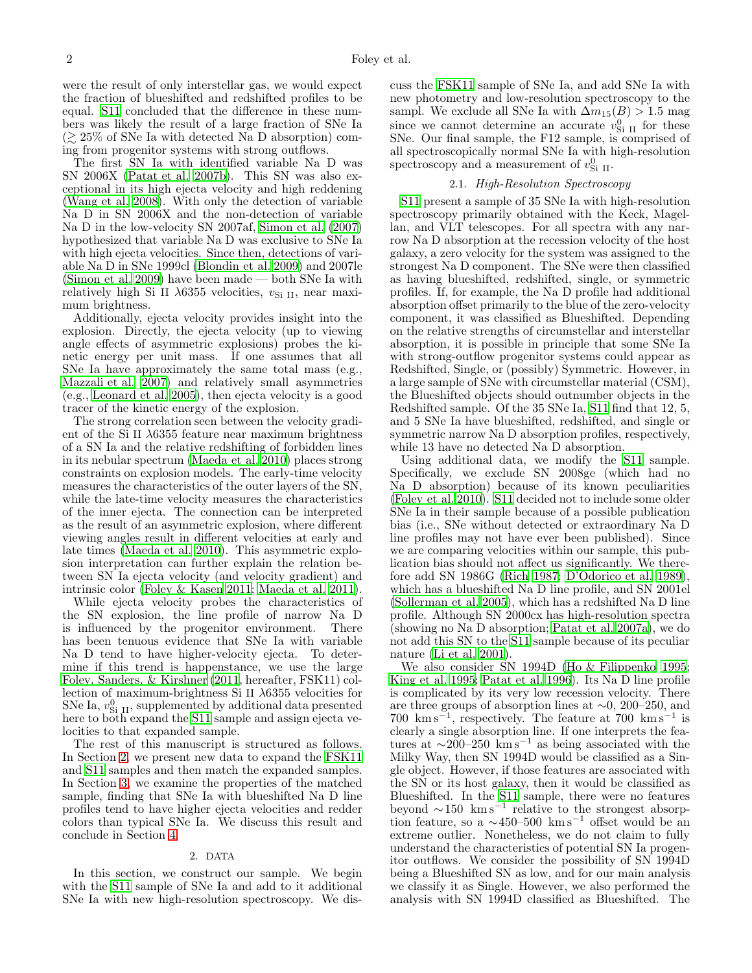were the result of only interstellar gas, we would expect the fraction of blueshifted and redshifted profiles to be equal. [S11](#page-8-0) concluded that the difference in these numbers was likely the result of a large fraction of SNe Ia  $\approx 25\%$  of SNe Ia with detected Na D absorption) coming from progenitor systems with strong outflows.

The first SN Ia with identified variable Na D was SN 2006X [\(Patat et al. 2007b\)](#page-8-33). This SN was also exceptional in its high ejecta velocity and high reddening [\(Wang et al. 2008\)](#page-9-5). With only the detection of variable Na D in SN 2006X and the non-detection of variable Na D in the low-velocity SN 2007af, [Simon et al. \(2007](#page-8-36)) hypothesized that variable Na D was exclusive to SNe Ia with high ejecta velocities. Since then, detections of variable Na D in SNe 1999cl [\(Blondin et al. 2009\)](#page-8-34) and 2007le [\(Simon et al. 2009\)](#page-8-35) have been made — both SNe Ia with relatively high Si II  $\lambda$ 6355 velocities,  $v_{\text{Si II}}$ , near maximum brightness.

Additionally, ejecta velocity provides insight into the explosion. Directly, the ejecta velocity (up to viewing angle effects of asymmetric explosions) probes the kinetic energy per unit mass. If one assumes that all SNe Ia have approximately the same total mass (e.g., [Mazzali et al. 2007\)](#page-8-37) and relatively small asymmetries (e.g., [Leonard et al. 2005\)](#page-8-38), then ejecta velocity is a good tracer of the kinetic energy of the explosion.

The strong correlation seen between the velocity gradient of the Si II  $\lambda$ 6355 feature near maximum brightness of a SN Ia and the relative redshifting of forbidden lines in its nebular spectrum [\(Maeda et al. 2010](#page-8-39)) places strong constraints on explosion models. The early-time velocity measures the characteristics of the outer layers of the SN, while the late-time velocity measures the characteristics of the inner ejecta. The connection can be interpreted as the result of an asymmetric explosion, where different viewing angles result in different velocities at early and late times [\(Maeda et al. 2010\)](#page-8-39). This asymmetric explosion interpretation can further explain the relation between SN Ia ejecta velocity (and velocity gradient) and intrinsic color [\(Foley & Kasen 2011;](#page-8-40) [Maeda et al. 2011\)](#page-8-41).

While ejecta velocity probes the characteristics of the SN explosion, the line profile of narrow Na D is influenced by the progenitor environment. There has been tenuous evidence that SNe Ia with variable Na D tend to have higher-velocity ejecta. To determine if this trend is happenstance, we use the large [Foley, Sanders, & Kirshner \(2011,](#page-8-42) hereafter, FSK11) collection of maximum-brightness Si II λ6355 velocities for SNe Ia,  $v_{\text{Si II}}^0$ , supplemented by additional data presented here to both expand the [S11](#page-8-0) sample and assign ejecta velocities to that expanded sample.

The rest of this manuscript is structured as follows. In Section [2,](#page-1-0) we present new data to expand the [FSK11](#page-8-42) and [S11](#page-8-0) samples and then match the expanded samples. In Section [3,](#page-2-0) we examine the properties of the matched sample, finding that SNe Ia with blueshifted Na D line profiles tend to have higher ejecta velocities and redder colors than typical SNe Ia. We discuss this result and conclude in Section [4.](#page-7-0)

### 2. DATA

<span id="page-1-0"></span>In this section, we construct our sample. We begin with the [S11](#page-8-0) sample of SNe Ia and add to it additional SNe Ia with new high-resolution spectroscopy. We discuss the [FSK11](#page-8-42) sample of SNe Ia, and add SNe Ia with new photometry and low-resolution spectroscopy to the sampl. We exclude all SNe Ia with  $\Delta m_{15}(B) > 1.5$  mag since we cannot determine an accurate  $v_{\text{Si II}}^0$  for these SNe. Our final sample, the F12 sample, is comprised of all spectroscopically normal SNe Ia with high-resolution spectroscopy and a measurement of  $v_{\text{Si II}}^0$ .

# 2.1. High-Resolution Spectroscopy

[S11](#page-8-0) present a sample of 35 SNe Ia with high-resolution spectroscopy primarily obtained with the Keck, Magellan, and VLT telescopes. For all spectra with any narrow Na D absorption at the recession velocity of the host galaxy, a zero velocity for the system was assigned to the strongest Na D component. The SNe were then classified as having blueshifted, redshifted, single, or symmetric profiles. If, for example, the Na D profile had additional absorption offset primarily to the blue of the zero-velocity component, it was classified as Blueshifted. Depending on the relative strengths of circumstellar and interstellar absorption, it is possible in principle that some SNe Ia with strong-outflow progenitor systems could appear as Redshifted, Single, or (possibly) Symmetric. However, in a large sample of SNe with circumstellar material (CSM), the Blueshifted objects should outnumber objects in the Redshifted sample. Of the 35 SNe Ia, [S11](#page-8-0) find that 12, 5, and 5 SNe Ia have blueshifted, redshifted, and single or symmetric narrow Na D absorption profiles, respectively, while 13 have no detected Na D absorption.

Using additional data, we modify the [S11](#page-8-0) sample. Specifically, we exclude SN 2008ge (which had no Na D absorption) because of its known peculiarities [\(Foley et al. 2010](#page-8-12)). [S11](#page-8-0) decided not to include some older SNe Ia in their sample because of a possible publication bias (i.e., SNe without detected or extraordinary Na D line profiles may not have ever been published). Since we are comparing velocities within our sample, this publication bias should not affect us significantly. We therefore add SN 1986G [\(Rich 1987;](#page-8-43) [D'Odorico et al. 1989](#page-8-44)), which has a blueshifted Na D line profile, and SN 2001el [\(Sollerman et al. 2005\)](#page-8-45), which has a redshifted Na D line profile. Although SN 2000cx has high-resolution spectra (showing no Na D absorption; [Patat et al. 2007a\)](#page-8-46), we do not add this SN to the [S11](#page-8-0) sample because of its peculiar nature [\(Li et al. 2001\)](#page-8-47).

We also consider SN 1994D [\(Ho & Filippenko 1995](#page-8-48); [King et al. 1995;](#page-8-49) [Patat et al. 1996](#page-8-50)). Its Na D line profile is complicated by its very low recession velocity. There are three groups of absorption lines at ∼0, 200–250, and  $700 \ \mathrm{km \, s}^{-1}$ , respectively. The feature at  $700 \ \mathrm{km \, s}^{-1}$  is clearly a single absorption line. If one interprets the features at  $\sim$ 200–250 km s<sup>-1</sup> as being associated with the Milky Way, then SN 1994D would be classified as a Single object. However, if those features are associated with the SN or its host galaxy, then it would be classified as Blueshifted. In the [S11](#page-8-0) sample, there were no features beyond  $\sim 150$  km s<sup>−1</sup> relative to the strongest absorption feature, so a  $\sim$ 450–500 km s<sup>-1</sup> offset would be an extreme outlier. Nonetheless, we do not claim to fully understand the characteristics of potential SN Ia progenitor outflows. We consider the possibility of SN 1994D being a Blueshifted SN as low, and for our main analysis we classify it as Single. However, we also performed the analysis with SN 1994D classified as Blueshifted. The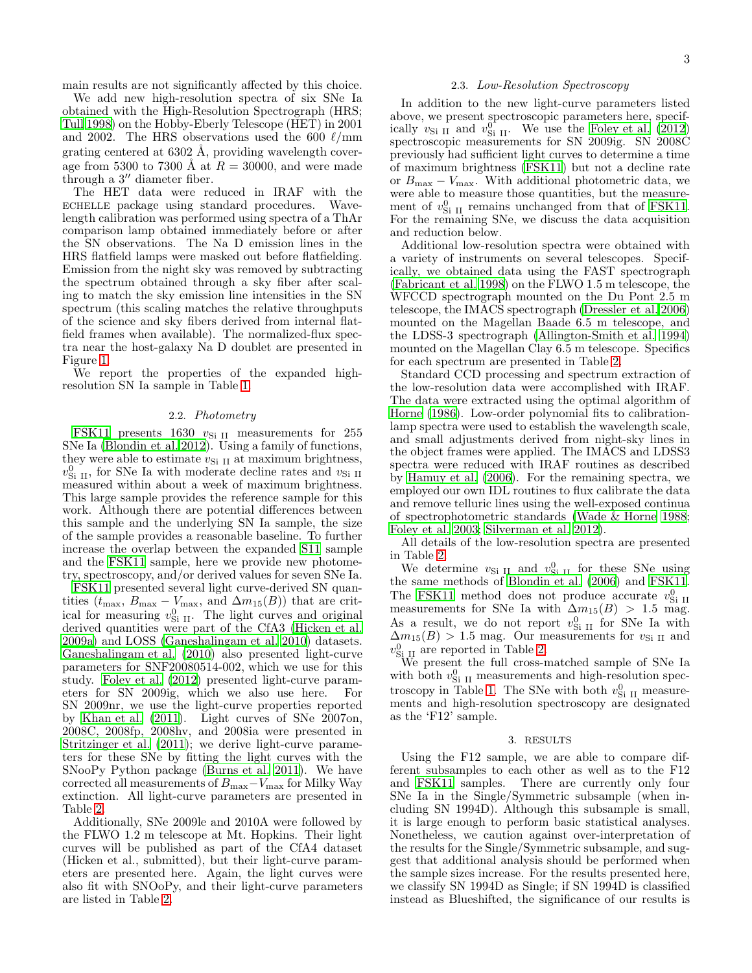main results are not significantly affected by this choice.

We add new high-resolution spectra of six SNe Ia obtained with the High-Resolution Spectrograph (HRS; [Tull 1998\)](#page-8-51) on the Hobby-Eberly Telescope (HET) in 2001 and 2002. The HRS observations used the 600  $\ell$ /mm grating centered at  $6302$  Å, providing wavelength coverage from 5300 to 7300 Å at  $R = 30000$ , and were made through a 3" diameter fiber.

The HET data were reduced in IRAF with the echelle package using standard procedures. Wavelength calibration was performed using spectra of a ThAr comparison lamp obtained immediately before or after the SN observations. The Na D emission lines in the HRS flatfield lamps were masked out before flatfielding. Emission from the night sky was removed by subtracting the spectrum obtained through a sky fiber after scaling to match the sky emission line intensities in the SN spectrum (this scaling matches the relative throughputs of the science and sky fibers derived from internal flatfield frames when available). The normalized-flux spectra near the host-galaxy Na D doublet are presented in Figure [1.](#page-4-0)

We report the properties of the expanded highresolution SN Ia sample in Table [1.](#page-3-0)

#### 2.2. Photometry

[FSK11](#page-8-42) presents 1630  $v_{\text{Si II}}$  measurements for 255 SNe Ia [\(Blondin et al. 2012\)](#page-8-52). Using a family of functions, they were able to estimate  $v_{\text{Si II}}$  at maximum brightness,  $v_{\rm Si~II}^0$  , for SNe Ia with moderate decline rates and  $v_{\rm Si~II}$ measured within about a week of maximum brightness. This large sample provides the reference sample for this work. Although there are potential differences between this sample and the underlying SN Ia sample, the size of the sample provides a reasonable baseline. To further increase the overlap between the expanded [S11](#page-8-0) sample and the [FSK11](#page-8-42) sample, here we provide new photometry, spectroscopy, and/or derived values for seven SNe Ia.

[FSK11](#page-8-42) presented several light curve-derived SN quantities ( $t_{\text{max}}$ ,  $B_{\text{max}} - V_{\text{max}}$ , and  $\Delta m_{15}(B)$ ) that are critical for measuring  $v_{\text{Si II}}^0$ . The light curves and original derived quantities were part of the CfA3 [\(Hicken et al.](#page-8-53) [2009a\)](#page-8-53) and LOSS [\(Ganeshalingam et al. 2010\)](#page-8-54) datasets. [Ganeshalingam et al. \(2010\)](#page-8-54) also presented light-curve parameters for SNF20080514-002, which we use for this study. [Foley et al. \(2012](#page-8-13)) presented light-curve parameters for SN 2009ig, which we also use here. For SN 2009nr, we use the light-curve properties reported by [Khan et al. \(2011\)](#page-8-55). Light curves of SNe 2007on, 2008C, 2008fp, 2008hv, and 2008ia were presented in [Stritzinger et al. \(2011\)](#page-8-56); we derive light-curve parameters for these SNe by fitting the light curves with the SNooPy Python package [\(Burns et al. 2011\)](#page-8-57). We have corrected all measurements of  $B_{\text{max}}-V_{\text{max}}$  for Milky Way extinction. All light-curve parameters are presented in Table [2.](#page-3-1)

Additionally, SNe 2009le and 2010A were followed by the FLWO 1.2 m telescope at Mt. Hopkins. Their light curves will be published as part of the CfA4 dataset (Hicken et al., submitted), but their light-curve parameters are presented here. Again, the light curves were also fit with SNOoPy, and their light-curve parameters are listed in Table [2.](#page-3-1)

#### 2.3. Low-Resolution Spectroscopy

In addition to the new light-curve parameters listed above, we present spectroscopic parameters here, specifically  $v_{\text{Si II}}$  and  $v_{\text{Si II}}^0$ . We use the [Foley et al. \(2012](#page-8-13)) spectroscopic measurements for SN 2009ig. SN 2008C previously had sufficient light curves to determine a time of maximum brightness [\(FSK11\)](#page-8-42) but not a decline rate or  $B_{\text{max}} - V_{\text{max}}$ . With additional photometric data, we were able to measure those quantities, but the measurement of  $v_{\text{Si II}}^0$  remains unchanged from that of [FSK11](#page-8-42). For the remaining SNe, we discuss the data acquisition and reduction below.

Additional low-resolution spectra were obtained with a variety of instruments on several telescopes. Specifically, we obtained data using the FAST spectrograph [\(Fabricant et al. 1998\)](#page-8-58) on the FLWO 1.5 m telescope, the WFCCD spectrograph mounted on the Du Pont 2.5 m telescope, the IMACS spectrograph [\(Dressler et al. 2006](#page-8-59)) mounted on the Magellan Baade 6.5 m telescope, and the LDSS-3 spectrograph [\(Allington-Smith et al. 1994](#page-8-60)) mounted on the Magellan Clay 6.5 m telescope. Specifics for each spectrum are presented in Table [2.](#page-3-1)

Standard CCD processing and spectrum extraction of the low-resolution data were accomplished with IRAF. The data were extracted using the optimal algorithm of [Horne \(1986\)](#page-8-61). Low-order polynomial fits to calibrationlamp spectra were used to establish the wavelength scale, and small adjustments derived from night-sky lines in the object frames were applied. The IMACS and LDSS3 spectra were reduced with IRAF routines as described by [Hamuy et al. \(2006\)](#page-8-62). For the remaining spectra, we employed our own IDL routines to flux calibrate the data and remove telluric lines using the well-exposed continua of spectrophotometric standards [\(Wade & Horne 1988](#page-9-6); [Foley et al. 2003;](#page-8-63) [Silverman et al. 2012\)](#page-8-64).

All details of the low-resolution spectra are presented in Table [2.](#page-3-1)

We determine  $v_{\text{Si II}}$  and  $v_{\text{Si II}}^0$  for these SNe using the same methods of [Blondin et al. \(2006\)](#page-8-65) and [FSK11](#page-8-42). The [FSK11](#page-8-42) method does not produce accurate  $v_{\text{Si II}}^0$ measurements for SNe Ia with  $\Delta m_{15}(B) > 1.5$  mag. As a result, we do not report  $v_{\text{Si II}}^0$  for SNe Ia with  $\Delta m_{15}(B) > 1.5$  mag. Our measurements for  $v_{\text{Si II}}$  and  $v_{\text{Si\,II}}^0$  are reported in Table [2.](#page-3-1)

We present the full cross-matched sample of SNe Ia with both  $v_{\text{Si II}}^0$  measurements and high-resolution spec-troscopy in Table [1.](#page-3-0) The SNe with both  $v_{\text{Si II}}^0$  measurements and high-resolution spectroscopy are designated as the 'F12' sample.

## 3. RESULTS

<span id="page-2-0"></span>Using the F12 sample, we are able to compare different subsamples to each other as well as to the F12 and [FSK11](#page-8-42) samples. There are currently only four SNe Ia in the Single/Symmetric subsample (when including SN 1994D). Although this subsample is small, it is large enough to perform basic statistical analyses. Nonetheless, we caution against over-interpretation of the results for the Single/Symmetric subsample, and suggest that additional analysis should be performed when the sample sizes increase. For the results presented here, we classify SN 1994D as Single; if SN 1994D is classified instead as Blueshifted, the significance of our results is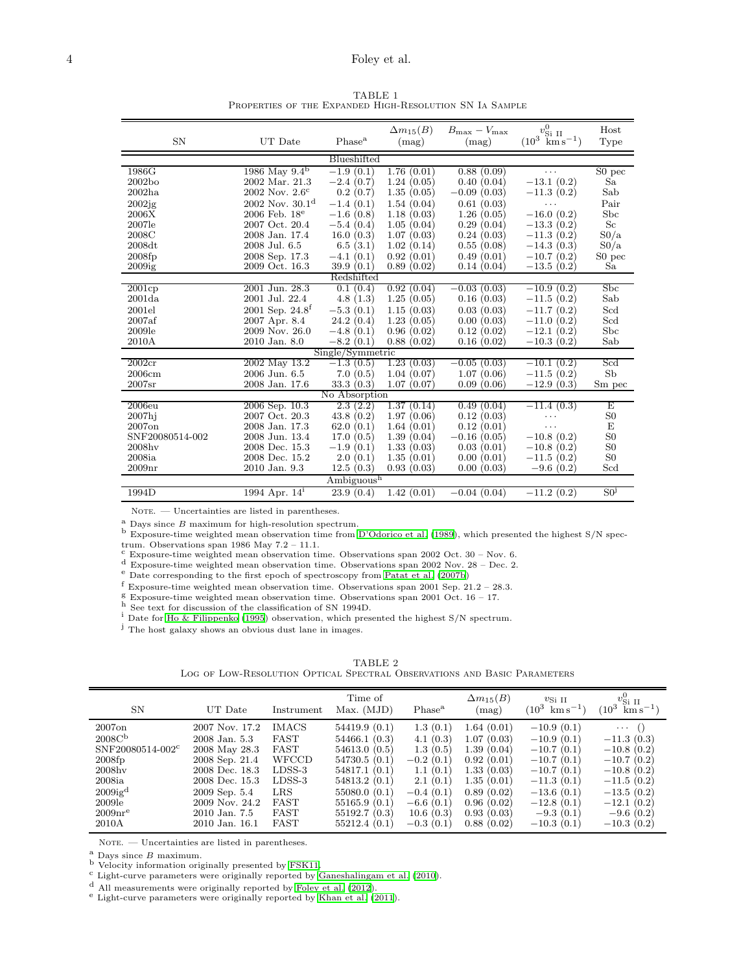TABLE 1 Properties of the Expanded High-Resolution SN Ia Sample

<span id="page-3-0"></span>

| <b>SN</b>              | UT Date                     | Phase <sup>a</sup> | $\Delta m_{15}(B)$<br>(mag) | $B_{\text{max}} - V_{\text{max}}$<br>(mag) | $v_{\text{Si II}}^0$<br>$(10^3 \ \mathrm{km} \, \mathrm{s}^{-1})$ | Host<br>Type             |  |  |  |  |
|------------------------|-----------------------------|--------------------|-----------------------------|--------------------------------------------|-------------------------------------------------------------------|--------------------------|--|--|--|--|
| Blueshifted            |                             |                    |                             |                                            |                                                                   |                          |  |  |  |  |
| 1986G                  | 1986 May $9.4^{\rm b}$      | $-1.9(0.1)$        | 1.76(0.01)                  | 0.88(0.09)                                 | $\cdots$                                                          | S <sub>0</sub> pec       |  |  |  |  |
| 2002bo                 | 2002 Mar. 21.3              | $-2.4(0.7)$        | 1.24(0.05)                  | 0.40(0.04)                                 | $-13.1(0.2)$                                                      | Sa                       |  |  |  |  |
| 2002ha                 | $2002$ Nov. $2.6^{\circ}$   | 0.2(0.7)           | 1.35(0.05)                  | $-0.09(0.03)$                              | $-11.3(0.2)$                                                      | Sab                      |  |  |  |  |
| 2002jg                 | $2002$ Nov. $30.1d$         | $-1.4(0.1)$        | 1.54(0.04)                  | 0.61(0.03)                                 | .                                                                 | Pair                     |  |  |  |  |
| 2006X                  | $2006$ Feb. $18^e$          | $-1.6(0.8)$        | 1.18(0.03)                  | 1.26(0.05)                                 | $-16.0(0.2)$                                                      | Sbc                      |  |  |  |  |
| 2007le                 | 2007 Oct. 20.4              | $-5.4(0.4)$        | 1.05(0.04)                  | 0.29(0.04)                                 | $-13.3(0.2)$                                                      | Sc                       |  |  |  |  |
| 2008C                  | 2008 Jan. 17.4              | 16.0(0.3)          | 1.07(0.03)                  | 0.24(0.03)                                 | $-11.3(0.2)$                                                      | S0/a                     |  |  |  |  |
| 2008dt                 | 2008 Jul. 6.5               | 6.5(3.1)           | 1.02(0.14)                  | 0.55(0.08)                                 | $-14.3(0.3)$                                                      | $\mathrm{S}0/\mathrm{a}$ |  |  |  |  |
| 2008fp                 | 2008 Sep. 17.3              | $-4.1(0.1)$        | 0.92(0.01)                  | 0.49(0.01)                                 | $-10.7(0.2)$                                                      | S0 pec                   |  |  |  |  |
| 2009ig                 | 2009 Oct. 16.3              | 39.9(0.1)          | 0.89(0.02)                  | 0.14(0.04)                                 | $-13.5(0.2)$                                                      | Sa                       |  |  |  |  |
| Redshifted             |                             |                    |                             |                                            |                                                                   |                          |  |  |  |  |
| 2001cp                 | 2001 Jun. 28.3              | 0.1(0.4)           | 0.92(0.04)                  | $-0.03(0.03)$                              | $-10.9(0.2)$                                                      | Sbc                      |  |  |  |  |
| 2001da                 | 2001 Jul. 22.4              | 4.8(1.3)           | 1.25(0.05)                  | 0.16(0.03)                                 | $-11.5(0.2)$                                                      | Sab                      |  |  |  |  |
| 2001el                 | 2001 Sep. 24.8 <sup>f</sup> | $-5.3(0.1)$        | 1.15(0.03)                  | 0.03(0.03)                                 | $-11.7(0.2)$                                                      | Scd                      |  |  |  |  |
| 2007af                 | 2007 Apr. 8.4               | 24.2(0.4)          | 1.23(0.05)                  | 0.00(0.03)                                 | $-11.0(0.2)$                                                      | Scd                      |  |  |  |  |
| 2009le                 | $2009$ Nov. $26.0$          | $-4.8(0.1)$        | 0.96(0.02)                  | 0.12(0.02)                                 | $-12.1(0.2)$                                                      | Sbc                      |  |  |  |  |
| 2010A                  | 2010 Jan. 8.0               | $-8.2(0.1)$        | 0.88(0.02)                  | 0.16(0.02)                                 | $-10.3(0.2)$                                                      | Sab                      |  |  |  |  |
| Single/Symmetric       |                             |                    |                             |                                            |                                                                   |                          |  |  |  |  |
| 2002cr                 | 2002 May 13.2               | $-1.3(0.5)$        | 1.23(0.03)                  | $-0.05(0.03)$                              | $-10.1(0.2)$                                                      | Scd                      |  |  |  |  |
| 2006cm                 | 2006 Jun. 6.5               | 7.0(0.5)           | 1.04(0.07)                  | 1.07(0.06)                                 | $-11.5(0.2)$                                                      | Sb                       |  |  |  |  |
| 2007sr                 | 2008 Jan. 17.6              | 33.3(0.3)          | 1.07(0.07)                  | 0.09(0.06)                                 | $-12.9(0.3)$                                                      | Sm pec                   |  |  |  |  |
|                        |                             | No Absorption      |                             |                                            |                                                                   |                          |  |  |  |  |
| 2006e <sub>u</sub>     | 2006 Sep. 10.3              | 2.3(2.2)           | 1.37<br>(0.14)              | 0.49(0.04)                                 | $-11.4(0.3)$                                                      | Ε                        |  |  |  |  |
| $2007$ hj              | 2007 Oct. 20.3              | 43.8(0.2)          | 1.97(0.06)                  | 0.12(0.03)                                 | $\cdots$                                                          | S <sub>0</sub>           |  |  |  |  |
| 2007 <sub>on</sub>     | 2008 Jan. 17.3              | 62.0(0.1)          | 1.64(0.01)                  | 0.12(0.01)                                 | $\cdots$                                                          | E                        |  |  |  |  |
| SNF20080514-002        | 2008 Jun. 13.4              | 17.0(0.5)          | 1.39(0.04)                  | $-0.16(0.05)$                              | $-10.8(0.2)$                                                      | S <sub>0</sub>           |  |  |  |  |
| $2008$ hv              | 2008 Dec. 15.3              | $-1.9(0.1)$        | 1.33(0.03)                  | 0.03(0.01)                                 | $-10.8(0.2)$                                                      | S <sub>0</sub>           |  |  |  |  |
| 2008ia                 | 2008 Dec. 15.2              | 2.0(0.1)           | 1.35(0.01)                  | 0.00(0.01)                                 | $-11.5(0.2)$                                                      | S <sub>0</sub>           |  |  |  |  |
| 2009 <sub>nr</sub>     | 2010 Jan. 9.3               | 12.5(0.3)          | 0.93(0.03)                  | 0.00(0.03)                                 | $-9.6(0.2)$                                                       | Scd                      |  |  |  |  |
| Ambiguous <sup>h</sup> |                             |                    |                             |                                            |                                                                   |                          |  |  |  |  |
| 1994D                  | 1994 Apr. $14^1$            | 23.9(0.4)          | 1.42(0.01)                  | $-0.04(0.04)$                              | $-11.2(0.2)$                                                      | S0 <sup>j</sup>          |  |  |  |  |

NOTE. - Uncertainties are listed in parentheses.

 $a$  Days since  $B$  maximum for high-resolution spectrum.

b Exposure-time weighted mean observation time from [D'Odorico et al. \(1989\)](#page-8-44), which presented the highest S/N spec-

trum. Observations span 1986 May 7.2 – 11.1.

 $\sim$  Exposure-time weighted mean observation time. Observations span 2002 Oct. 30 – Nov. 6.

 $d$  Exposure-time weighted mean observation time. Observations span 2002 Nov. 28 – Dec. 2.

<sup>e</sup> Date corresponding to the first epoch of spectroscopy from [Patat et al. \(2007b](#page-8-33))

<sup>f</sup> Exposure-time weighted mean observation time. Observations span 2001 Sep. 21.2 – 28.3.

g Exposure-time weighted mean observation time. Observations span 2001 Oct. 16 – 17.

h See text for discussion of the classification of SN 1994D.

<sup>i</sup> Date for [Ho & Filippenko \(1995\)](#page-8-48) observation, which presented the highest S/N spectrum.

<span id="page-3-1"></span><sup>j</sup> The host galaxy shows an obvious dust lane in images.

TABLE 2

| LOG OF LOW-RESOLUTION OPTICAL SPECTRAL OBSERVATIONS AND BASIC PARAMETERS |  |
|--------------------------------------------------------------------------|--|
|--------------------------------------------------------------------------|--|

| <b>SN</b>                      | UT Date           | Instrument   | Time of<br>Max. (MJD) | Phase <sup>a</sup> | $\Delta m_{15}(B)$<br>(mag) | $v_{\text{Si II}}$<br>$km s^{-1}$<br>$(10^3$ | $v_{\text{Si II}}^0$<br>$(10^3$<br>$\rm km\,s^{-1})$ |
|--------------------------------|-------------------|--------------|-----------------------|--------------------|-----------------------------|----------------------------------------------|------------------------------------------------------|
| $2007$ on                      | 2007 Nov. 17.2    | <b>IMACS</b> | 54419.9(0.1)          | 1.3(0.1)           | 1.64(0.01)                  | $-10.9(0.1)$                                 | $\cdots$ ()                                          |
| 2008C <sup>b</sup>             | 2008 Jan. 5.3     | FAST         | 54466.1(0.3)          | 4.1(0.3)           | 1.07(0.03)                  | $-10.9(0.1)$                                 | $-11.3(0.3)$                                         |
| SNF20080514-002 <sup>c</sup>   | 2008 May 28.3     | FAST         | 54613.0(0.5)          | 1.3(0.5)           | 1.39(0.04)                  | $-10.7(0.1)$                                 | $-10.8(0.2)$                                         |
| 2008fp                         | 2008 Sep. 21.4    | <b>WFCCD</b> | 54730.5 (0.1)         | $-0.2(0.1)$        | 0.92(0.01)                  | $-10.7(0.1)$                                 | $-10.7(0.2)$                                         |
| $2008$ hv                      | 2008 Dec. 18.3    | $LDSS-3$     | 54817.1(0.1)          | 1.1(0.1)           | 1.33(0.03)                  | $-10.7(0.1)$                                 | $-10.8(0.2)$                                         |
| $2008i$ a                      | 2008 Dec. 15.3    | $LDSS-3$     | 54813.2(0.1)          | 2.1(0.1)           | 1.35(0.01)                  | $-11.3(0.1)$                                 | $-11.5(0.2)$                                         |
| 2009ig <sup>d</sup>            | $2009$ Sep. $5.4$ | LRS          | 55080.0(0.1)          | $-0.4(0.1)$        | 0.89(0.02)                  | $-13.6(0.1)$                                 | $-13.5(0.2)$                                         |
| 2009le                         | 2009 Nov. 24.2    | FAST         | 55165.9(0.1)          | $-6.6(0.1)$        | 0.96(0.02)                  | $-12.8(0.1)$                                 | $-12.1(0.2)$                                         |
| $2009\mathrm{nr}^{\mathrm{e}}$ | 2010 Jan. 7.5     | FAST         | 55192.7(0.3)          | 10.6(0.3)          | 0.93(0.03)                  | $-9.3(0.1)$                                  | $-9.6(0.2)$                                          |
| 2010A                          | 2010 Jan. 16.1    | FAST         | 55212.4(0.1)          | $-0.3(0.1)$        | 0.88(0.02)                  | $-10.3(0.1)$                                 | $-10.3(0.2)$                                         |

 $\,$  NOTE.  $-$  Uncertainties are listed in parentheses.

 $\overset{\text{a}}{\cdot}$  Days since  $B$  maximum.

b Velocity information originally presented by [FSK11.](#page-8-42)

<sup>c</sup> Light-curve parameters were originally reported by [Ganeshalingam et al. \(2010\)](#page-8-54).

<sup>d</sup> All measurements were originally reported by [Foley et al. \(2012](#page-8-13)).

<sup>e</sup> Light-curve parameters were originally reported by [Khan et](#page-8-55) al. [\(2011\)](#page-8-55).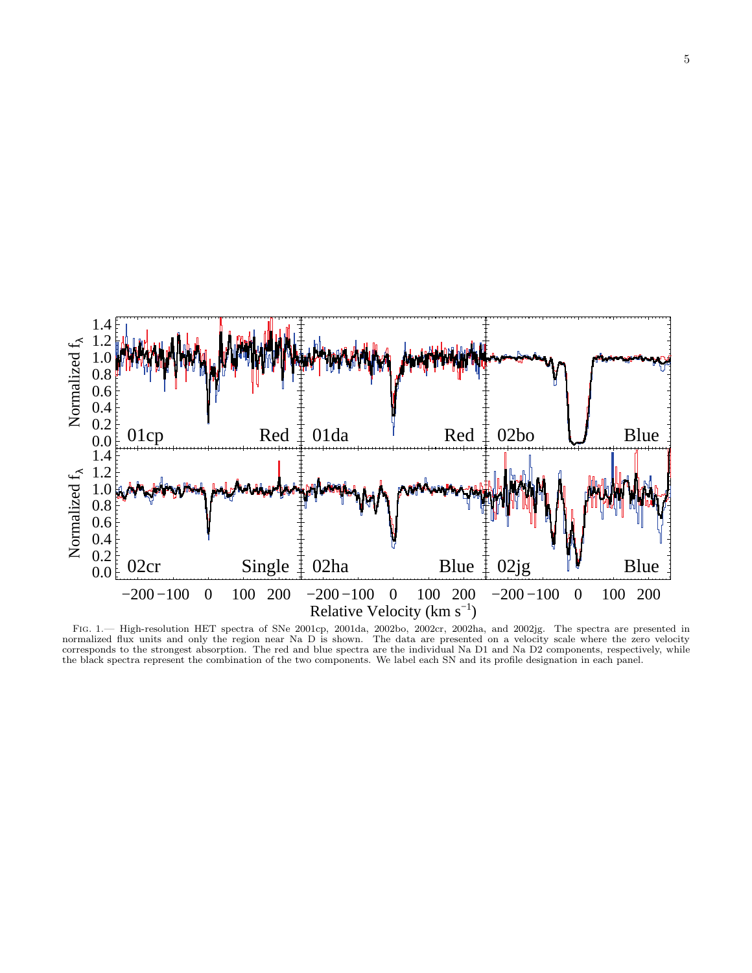

<span id="page-4-0"></span>Fig. 1.— High-resolution HET spectra of SNe 2001cp, 2001da, 2002bo, 2002cr, 2002ha, and 2002jg. The spectra are presented in normalized flux units and only the region near Na D is shown. The data are presented on a velocity scale where the zero velocity corresponds to the strongest absorption. The red and blue spectra are the individual Na D1 and Na D2 components, respectively, while the black spectra represent the combination of the two components. We label each SN and its profile designation in each panel.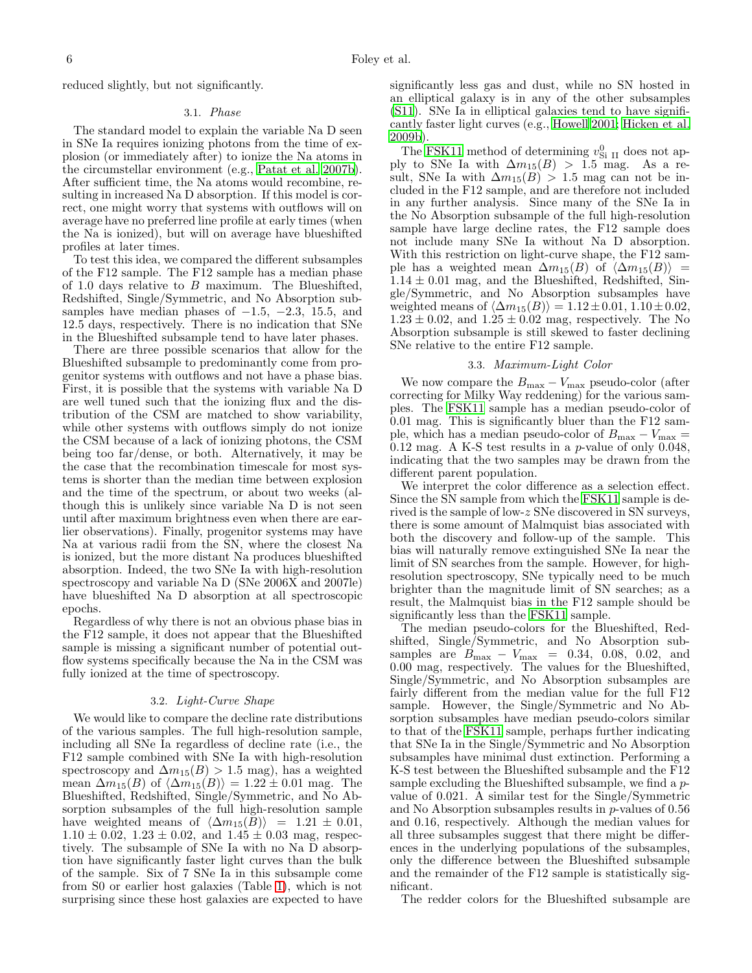reduced slightly, but not significantly.

# 3.1. Phase

The standard model to explain the variable Na D seen in SNe Ia requires ionizing photons from the time of explosion (or immediately after) to ionize the Na atoms in the circumstellar environment (e.g., [Patat et al. 2007b\)](#page-8-33). After sufficient time, the Na atoms would recombine, resulting in increased Na D absorption. If this model is correct, one might worry that systems with outflows will on average have no preferred line profile at early times (when the Na is ionized), but will on average have blueshifted profiles at later times.

To test this idea, we compared the different subsamples of the F12 sample. The F12 sample has a median phase of 1.0 days relative to  $B$  maximum. The Blueshifted, Redshifted, Single/Symmetric, and No Absorption subsamples have median phases of  $-1.5$ ,  $-2.3$ , 15.5, and 12.5 days, respectively. There is no indication that SNe in the Blueshifted subsample tend to have later phases.

There are three possible scenarios that allow for the Blueshifted subsample to predominantly come from progenitor systems with outflows and not have a phase bias. First, it is possible that the systems with variable Na D are well tuned such that the ionizing flux and the distribution of the CSM are matched to show variability, while other systems with outflows simply do not ionize the CSM because of a lack of ionizing photons, the CSM being too far/dense, or both. Alternatively, it may be the case that the recombination timescale for most systems is shorter than the median time between explosion and the time of the spectrum, or about two weeks (although this is unlikely since variable Na D is not seen until after maximum brightness even when there are earlier observations). Finally, progenitor systems may have Na at various radii from the SN, where the closest Na is ionized, but the more distant Na produces blueshifted absorption. Indeed, the two SNe Ia with high-resolution spectroscopy and variable Na D (SNe 2006X and 2007le) have blueshifted Na D absorption at all spectroscopic epochs.

Regardless of why there is not an obvious phase bias in the F12 sample, it does not appear that the Blueshifted sample is missing a significant number of potential outflow systems specifically because the Na in the CSM was fully ionized at the time of spectroscopy.

## 3.2. Light-Curve Shape

We would like to compare the decline rate distributions of the various samples. The full high-resolution sample, including all SNe Ia regardless of decline rate (i.e., the F12 sample combined with SNe Ia with high-resolution spectroscopy and  $\Delta m_{15}(B) > 1.5$  mag), has a weighted mean  $\Delta m_{15}(B)$  of  $\langle \Delta m_{15}(B) \rangle = 1.22 \pm 0.01$  mag. The Blueshifted, Redshifted, Single/Symmetric, and No Absorption subsamples of the full high-resolution sample have weighted means of  $\langle \Delta m_{15}(\overline{B}) \rangle = 1.21 \pm 0.01$ ,  $1.10 \pm 0.02$ ,  $1.23 \pm 0.02$ , and  $1.45 \pm 0.03$  mag, respectively. The subsample of SNe Ia with no Na D absorption have significantly faster light curves than the bulk of the sample. Six of 7 SNe Ia in this subsample come from S0 or earlier host galaxies (Table [1\)](#page-3-0), which is not surprising since these host galaxies are expected to have significantly less gas and dust, while no SN hosted in an elliptical galaxy is in any of the other subsamples [\(S11\)](#page-8-0). SNe Ia in elliptical galaxies tend to have significantly faster light curves (e.g., [Howell 2001;](#page-8-66) [Hicken et al.](#page-8-28) [2009b](#page-8-28)).

The [FSK11](#page-8-42) method of determining  $v_{\text{Si II}}^0$  does not apply to SNe Ia with  $\Delta m_{15}(B) > 1.5$  mag. As a result, SNe Ia with  $\Delta m_{15}(B) > 1.5$  mag can not be included in the F12 sample, and are therefore not included in any further analysis. Since many of the SNe Ia in the No Absorption subsample of the full high-resolution sample have large decline rates, the F12 sample does not include many SNe Ia without Na D absorption. With this restriction on light-curve shape, the F12 sample has a weighted mean  $\Delta m_{15}(B)$  of  $\langle \Delta m_{15}(B) \rangle$  =  $1.14 \pm 0.01$  mag, and the Blueshifted, Redshifted, Single/Symmetric, and No Absorption subsamples have weighted means of  $\langle \Delta m_{15}(B) \rangle = 1.12 \pm 0.01, 1.10 \pm 0.02$ ,  $1.23 \pm 0.02$ , and  $1.25 \pm 0.02$  mag, respectively. The No Absorption subsample is still skewed to faster declining SNe relative to the entire F12 sample.

## 3.3. Maximum-Light Color

<span id="page-5-0"></span>We now compare the  $B_{\text{max}} - V_{\text{max}}$  pseudo-color (after correcting for Milky Way reddening) for the various samples. The [FSK11](#page-8-42) sample has a median pseudo-color of 0.01 mag. This is significantly bluer than the F12 sample, which has a median pseudo-color of  $B_{\text{max}} - V_{\text{max}} =$ 0.12 mag. A K-S test results in a p-value of only 0.048, indicating that the two samples may be drawn from the different parent population.

We interpret the color difference as a selection effect. Since the SN sample from which the [FSK11](#page-8-42) sample is derived is the sample of low-z SNe discovered in SN surveys, there is some amount of Malmquist bias associated with both the discovery and follow-up of the sample. This bias will naturally remove extinguished SNe Ia near the limit of SN searches from the sample. However, for highresolution spectroscopy, SNe typically need to be much brighter than the magnitude limit of SN searches; as a result, the Malmquist bias in the F12 sample should be significantly less than the [FSK11](#page-8-42) sample.

The median pseudo-colors for the Blueshifted, Redshifted, Single/Symmetric, and No Absorption subsamples are  $B_{\text{max}} - V_{\text{max}} = 0.34, 0.08, 0.02, \text{ and}$ 0.00 mag, respectively. The values for the Blueshifted, Single/Symmetric, and No Absorption subsamples are fairly different from the median value for the full F12 sample. However, the Single/Symmetric and No Absorption subsamples have median pseudo-colors similar to that of the [FSK11](#page-8-42) sample, perhaps further indicating that SNe Ia in the Single/Symmetric and No Absorption subsamples have minimal dust extinction. Performing a K-S test between the Blueshifted subsample and the F12 sample excluding the Blueshifted subsample, we find a pvalue of 0.021. A similar test for the Single/Symmetric and No Absorption subsamples results in  $p$ -values of 0.56 and 0.16, respectively. Although the median values for all three subsamples suggest that there might be differences in the underlying populations of the subsamples, only the difference between the Blueshifted subsample and the remainder of the F12 sample is statistically significant.

The redder colors for the Blueshifted subsample are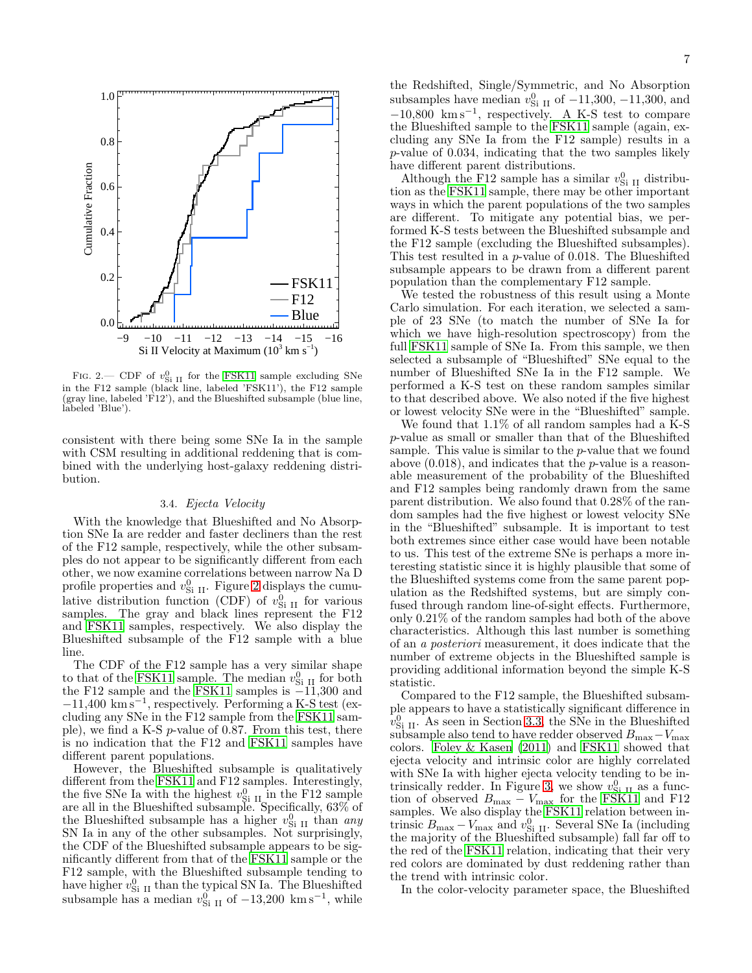

<span id="page-6-0"></span>FIG. 2.— CDF of  $v_{\text{Si II}}^0$  for the [FSK11](#page-8-42) sample excluding SNe in the F12 sample (black line, labeled 'FSK11'), the F12 sample (gray line, labeled 'F12'), and the Blueshifted subsample (blue line, labeled 'Blue').

consistent with there being some SNe Ia in the sample with CSM resulting in additional reddening that is combined with the underlying host-galaxy reddening distribution.

## 3.4. Ejecta Velocity

With the knowledge that Blueshifted and No Absorption SNe Ia are redder and faster decliners than the rest of the F12 sample, respectively, while the other subsamples do not appear to be significantly different from each other, we now examine correlations between narrow Na D profile properties and  $v_{\text{Si II}}^0$ . Figure [2](#page-6-0) displays the cumulative distribution function (CDF) of  $v_{\text{Si II}}^0$  for various samples. The gray and black lines represent the F12 and [FSK11](#page-8-42) samples, respectively. We also display the Blueshifted subsample of the F12 sample with a blue line.

The CDF of the F12 sample has a very similar shape to that of the [FSK11](#page-8-42) sample. The median  $v_{\text{Si II}}^0$  for both the F12 sample and the [FSK11](#page-8-42) samples is −11,300 and  $-11,400 \text{ km s}^{-1}$ , respectively. Performing a K-S test (excluding any SNe in the F12 sample from the [FSK11](#page-8-42) sample), we find a K-S p-value of 0.87. From this test, there is no indication that the F12 and [FSK11](#page-8-42) samples have different parent populations.

However, the Blueshifted subsample is qualitatively different from the [FSK11](#page-8-42) and F12 samples. Interestingly, the five SNe Ia with the highest  $v_{\rm Si~II}^{0}$  in the F12 sample are all in the Blueshifted subsample. Specifically, 63% of the Blueshifted subsample has a higher  $v_{\text{Si II}}^0$  than any SN Ia in any of the other subsamples. Not surprisingly, the CDF of the Blueshifted subsample appears to be significantly different from that of the [FSK11](#page-8-42) sample or the F12 sample, with the Blueshifted subsample tending to have higher  $v_{\text{Si II}}^0$  than the typical SN Ia. The Blueshifted subsample has a median  $v_{\text{Si II}}^0$  of  $-13,200 \text{ km s}^{-1}$ , while

the Redshifted, Single/Symmetric, and No Absorption subsamples have median  $v_{\text{Si II}}^0$  of  $-11,300, -11,300,$  and  $-10,800$  km s<sup>-1</sup>, respectively. A K-S test to compare the Blueshifted sample to the [FSK11](#page-8-42) sample (again, excluding any SNe Ia from the F12 sample) results in a p-value of 0.034, indicating that the two samples likely have different parent distributions.

Although the F12 sample has a similar  $v_{\text{Si II}}^0$  distribution as the [FSK11](#page-8-42) sample, there may be other important ways in which the parent populations of the two samples are different. To mitigate any potential bias, we performed K-S tests between the Blueshifted subsample and the F12 sample (excluding the Blueshifted subsamples). This test resulted in a p-value of 0.018. The Blueshifted subsample appears to be drawn from a different parent population than the complementary F12 sample.

We tested the robustness of this result using a Monte Carlo simulation. For each iteration, we selected a sample of 23 SNe (to match the number of SNe Ia for which we have high-resolution spectroscopy) from the full [FSK11](#page-8-42) sample of SNe Ia. From this sample, we then selected a subsample of "Blueshifted" SNe equal to the number of Blueshifted SNe Ia in the F12 sample. We performed a K-S test on these random samples similar to that described above. We also noted if the five highest or lowest velocity SNe were in the "Blueshifted" sample.

We found that 1.1% of all random samples had a K-S p-value as small or smaller than that of the Blueshifted sample. This value is similar to the p-value that we found above (0.018), and indicates that the p-value is a reasonable measurement of the probability of the Blueshifted and F12 samples being randomly drawn from the same parent distribution. We also found that 0.28% of the random samples had the five highest or lowest velocity SNe in the "Blueshifted" subsample. It is important to test both extremes since either case would have been notable to us. This test of the extreme SNe is perhaps a more interesting statistic since it is highly plausible that some of the Blueshifted systems come from the same parent population as the Redshifted systems, but are simply confused through random line-of-sight effects. Furthermore, only 0.21% of the random samples had both of the above characteristics. Although this last number is something of an a posteriori measurement, it does indicate that the number of extreme objects in the Blueshifted sample is providing additional information beyond the simple K-S statistic.

Compared to the F12 sample, the Blueshifted subsample appears to have a statistically significant difference in  $v_{\rm Si~II}^0$ . As seen in Section [3.3,](#page-5-0) the SNe in the Blueshifted  $\rm subsample$  also tend to have redder observed  $B_{\rm max} - V_{\rm max}$ colors. [Foley & Kasen \(2011\)](#page-8-40) and [FSK11](#page-8-42) showed that ejecta velocity and intrinsic color are highly correlated with SNe Ia with higher ejecta velocity tending to be in-trinsically redder. In Figure [3,](#page-7-1) we show  $v_{\text{Si II}}^0$  as a function of observed  $B_{\text{max}} - V_{\text{max}}$  for the [FSK11](#page-8-42) and F12 samples. We also display the [FSK11](#page-8-42) relation between intrinsic  $B_{\text{max}} - V_{\text{max}}$  and  $v_{\text{Si II}}^0$ . Several SNe Ia (including the majority of the Blueshifted subsample) fall far off to the red of the [FSK11](#page-8-42) relation, indicating that their very red colors are dominated by dust reddening rather than the trend with intrinsic color.

In the color-velocity parameter space, the Blueshifted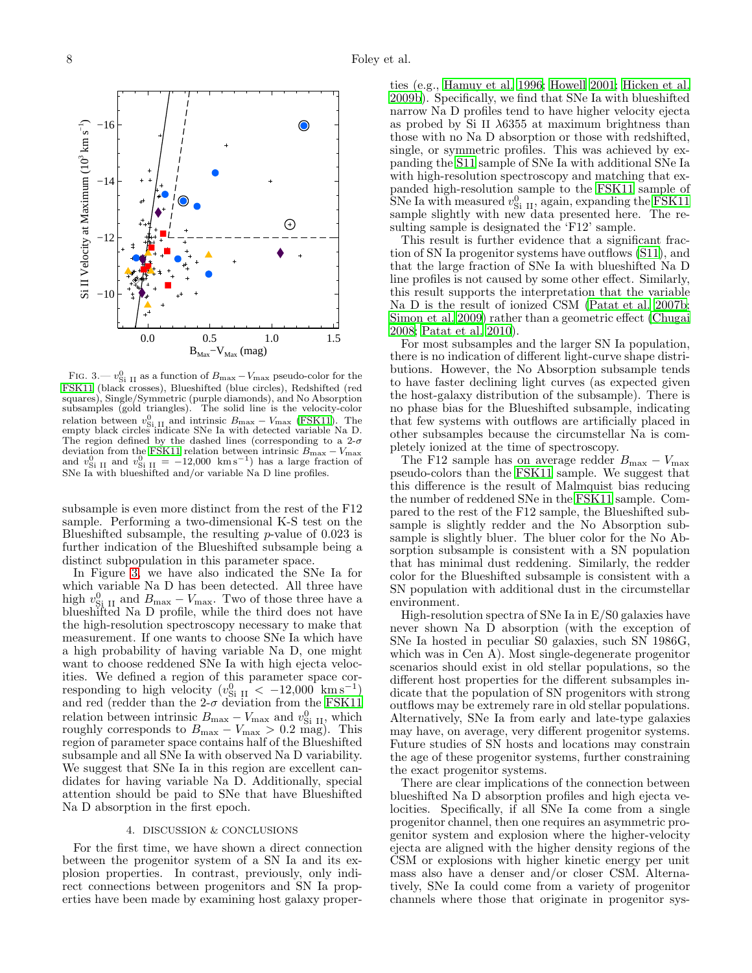

<span id="page-7-1"></span>FIG. 3.—  $v_{\text{Si II}}^0$  as a function of  $B_{\text{max}} - V_{\text{max}}$  pseudo-color for the [FSK11](#page-8-42) (black crosses), Blueshifted (blue circles), Redshifted (red squares), Single/Symmetric (purple diamonds), and No Absorption subsamples (gold triangles). The solid line is the velocity-color relation between  $v_{\text{Si II}}^0$  and intrinsic  $B_{\text{max}} - V_{\text{max}}$  [\(FSK11\)](#page-8-42). The empty black circles indicate SNe Ia with detected variable Na D. The region defined by the dashed lines (corresponding to a  $2-\sigma$ deviation from the [FSK11](#page-8-42) relation between intrinsic  $B_{\text{max}} - V_{\text{max}}$  and  $v_{\text{Si II}}^0$  and  $v_{\text{Si II}}^0 = -12,000$  km s<sup>-1</sup>) has a large fraction of SNe Ia with blueshifted and/or variable Na D line profiles.

subsample is even more distinct from the rest of the F12 sample. Performing a two-dimensional K-S test on the Blueshifted subsample, the resulting  $p$ -value of 0.023 is further indication of the Blueshifted subsample being a distinct subpopulation in this parameter space.

In Figure [3,](#page-7-1) we have also indicated the SNe Ia for which variable Na D has been detected. All three have high  $v_{\text{Si II}}^0$  and  $B_{\text{max}} - V_{\text{max}}$ . Two of those three have a blueshifted Na D profile, while the third does not have the high-resolution spectroscopy necessary to make that measurement. If one wants to choose SNe Ia which have a high probability of having variable Na D, one might want to choose reddened SNe Ia with high ejecta velocities. We defined a region of this parameter space corresponding to high velocity  $(v_{\text{Si II}}^0 < -12,000 \text{ km s}^{-1})$ and red (redder than the  $2-\sigma$  deviation from the [FSK11](#page-8-42) relation between intrinsic  $B_{\text{max}} - V_{\text{max}}$  and  $v_{\text{Si II}}^0$ , which roughly corresponds to  $B_{\text{max}} - V_{\text{max}} > 0.2$  mag). This region of parameter space contains half of the Blueshifted subsample and all SNe Ia with observed Na D variability. We suggest that SNe Ia in this region are excellent candidates for having variable Na D. Additionally, special attention should be paid to SNe that have Blueshifted Na D absorption in the first epoch.

#### 4. DISCUSSION & CONCLUSIONS

<span id="page-7-0"></span>For the first time, we have shown a direct connection between the progenitor system of a SN Ia and its explosion properties. In contrast, previously, only indirect connections between progenitors and SN Ia properties have been made by examining host galaxy proper-

ties (e.g., [Hamuy et al. 1996;](#page-8-67) [Howell 2001;](#page-8-66) [Hicken et al.](#page-8-28) [2009b](#page-8-28)). Specifically, we find that SNe Ia with blueshifted narrow Na D profiles tend to have higher velocity ejecta as probed by Si II  $\lambda$ 6355 at maximum brightness than those with no Na D absorption or those with redshifted, single, or symmetric profiles. This was achieved by expanding the [S11](#page-8-0) sample of SNe Ia with additional SNe Ia with high-resolution spectroscopy and matching that expanded high-resolution sample to the [FSK11](#page-8-42) sample of SNe Ia with measured  $v_{\text{Si II}}^0$ , again, expanding the [FSK11](#page-8-42) sample slightly with new data presented here. The resulting sample is designated the 'F12' sample.

This result is further evidence that a significant fraction of SN Ia progenitor systems have outflows [\(S11\)](#page-8-0), and that the large fraction of SNe Ia with blueshifted Na D line profiles is not caused by some other effect. Similarly, this result supports the interpretation that the variable Na D is the result of ionized CSM [\(Patat et al. 2007b](#page-8-33); [Simon et al. 2009\)](#page-8-35) rather than a geometric effect [\(Chugai](#page-8-68) [2008;](#page-8-68) [Patat et al. 2010\)](#page-8-69).

For most subsamples and the larger SN Ia population, there is no indication of different light-curve shape distributions. However, the No Absorption subsample tends to have faster declining light curves (as expected given the host-galaxy distribution of the subsample). There is no phase bias for the Blueshifted subsample, indicating that few systems with outflows are artificially placed in other subsamples because the circumstellar Na is completely ionized at the time of spectroscopy.

The F12 sample has on average redder  $B_{\text{max}} - V_{\text{max}}$ pseudo-colors than the [FSK11](#page-8-42) sample. We suggest that this difference is the result of Malmquist bias reducing the number of reddened SNe in the [FSK11](#page-8-42) sample. Compared to the rest of the F12 sample, the Blueshifted subsample is slightly redder and the No Absorption subsample is slightly bluer. The bluer color for the No Absorption subsample is consistent with a SN population that has minimal dust reddening. Similarly, the redder color for the Blueshifted subsample is consistent with a SN population with additional dust in the circumstellar environment.

High-resolution spectra of SNe Ia in E/S0 galaxies have never shown Na D absorption (with the exception of SNe Ia hosted in peculiar S0 galaxies, such SN 1986G, which was in Cen A). Most single-degenerate progenitor scenarios should exist in old stellar populations, so the different host properties for the different subsamples indicate that the population of SN progenitors with strong outflows may be extremely rare in old stellar populations. Alternatively, SNe Ia from early and late-type galaxies may have, on average, very different progenitor systems. Future studies of SN hosts and locations may constrain the age of these progenitor systems, further constraining the exact progenitor systems.

There are clear implications of the connection between blueshifted Na D absorption profiles and high ejecta velocities. Specifically, if all SNe Ia come from a single progenitor channel, then one requires an asymmetric progenitor system and explosion where the higher-velocity ejecta are aligned with the higher density regions of the CSM or explosions with higher kinetic energy per unit mass also have a denser and/or closer CSM. Alternatively, SNe Ia could come from a variety of progenitor channels where those that originate in progenitor sys-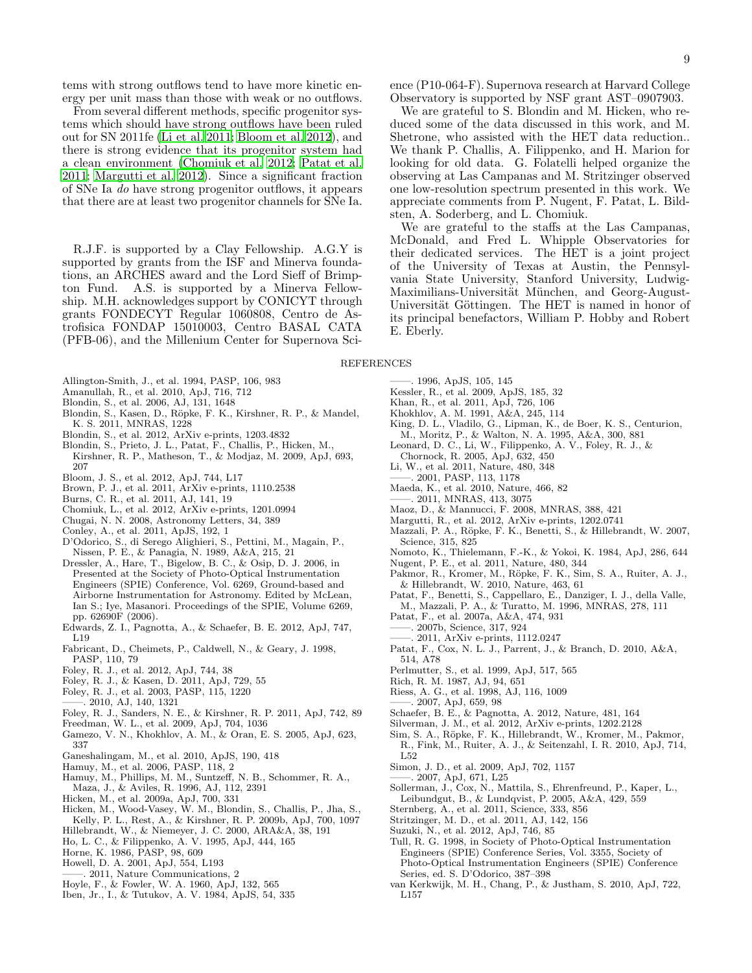tems with strong outflows tend to have more kinetic energy per unit mass than those with weak or no outflows.

From several different methods, specific progenitor systems which should have strong outflows have been ruled out for SN 2011fe [\(Li et al. 2011](#page-8-5); [Bloom et al. 2012\)](#page-8-7), and there is strong evidence that its progenitor system had a clean environment [\(Chomiuk et al. 2012](#page-8-9); [Patat et al.](#page-8-70) [2011;](#page-8-70) [Margutti et al. 2012\)](#page-8-10). Since a significant fraction of SNe Ia do have strong progenitor outflows, it appears that there are at least two progenitor channels for SNe Ia.

R.J.F. is supported by a Clay Fellowship. A.G.Y is supported by grants from the ISF and Minerva foundations, an ARCHES award and the Lord Sieff of Brimpton Fund. A.S. is supported by a Minerva Fellowship. M.H. acknowledges support by CONICYT through grants FONDECYT Regular 1060808, Centro de Astrofisica FONDAP 15010003, Centro BASAL CATA (PFB-06), and the Millenium Center for Supernova Science (P10-064-F). Supernova research at Harvard College Observatory is supported by NSF grant AST–0907903.

We are grateful to S. Blondin and M. Hicken, who reduced some of the data discussed in this work, and M. Shetrone, who assisted with the HET data reduction.. We thank P. Challis, A. Filippenko, and H. Marion for looking for old data. G. Folatelli helped organize the observing at Las Campanas and M. Stritzinger observed one low-resolution spectrum presented in this work. We appreciate comments from P. Nugent, F. Patat, L. Bildsten, A. Soderberg, and L. Chomiuk.

We are grateful to the staffs at the Las Campanas, McDonald, and Fred L. Whipple Observatories for their dedicated services. The HET is a joint project of the University of Texas at Austin, the Pennsylvania State University, Stanford University, Ludwig-Maximilians-Universität München, and Georg-August-Universität Göttingen. The HET is named in honor of its principal benefactors, William P. Hobby and Robert E. Eberly.

#### REFERENCES

- <span id="page-8-60"></span>Allington-Smith, J., et al. 1994, PASP, 106, 983
- <span id="page-8-30"></span>Amanullah, R., et al. 2010, ApJ, 716, 712
- <span id="page-8-65"></span>Blondin, S., et al. 2006, AJ, 131, 1648
- <span id="page-8-23"></span>Blondin, S., Kasen, D., Röpke, F. K., Kirshner, R. P., & Mandel, K. S. 2011, MNRAS, 1228
- <span id="page-8-52"></span>Blondin, S., et al. 2012, ArXiv e-prints, 1203.4832
- <span id="page-8-34"></span>Blondin, S., Prieto, J. L., Patat, F., Challis, P., Hicken, M., Kirshner, R. P., Matheson, T., & Modjaz, M. 2009, ApJ, 693, 207
- <span id="page-8-7"></span>Bloom, J. S., et al. 2012, ApJ, 744, L17
- <span id="page-8-8"></span>Brown, P. J., et al. 2011, ArXiv e-prints, 1110.2538
- <span id="page-8-57"></span>Burns, C. R., et al. 2011, AJ, 141, 19
- <span id="page-8-9"></span>Chomiuk, L., et al. 2012, ArXiv e-prints, 1201.0994
- <span id="page-8-68"></span>Chugai, N. N. 2008, Astronomy Letters, 34, 389
- <span id="page-8-31"></span>Conley, A., et al. 2011, ApJS, 192, 1
- <span id="page-8-44"></span>D'Odorico, S., di Serego Alighieri, S., Pettini, M., Magain, P., Nissen, P. E., & Panagia, N. 1989, A&A, 215, 21
- <span id="page-8-59"></span>Dressler, A., Hare, T., Bigelow, B. C., & Osip, D. J. 2006, in Presented at the Society of Photo-Optical Instrumentation Engineers (SPIE) Conference, Vol. 6269, Ground-based and Airborne Instrumentation for Astronomy. Edited by McLean, Ian S.; Iye, Masanori. Proceedings of the SPIE, Volume 6269, pp. 62690F (2006).
- <span id="page-8-14"></span>Edwards, Z. I., Pagnotta, A., & Schaefer, B. E. 2012, ApJ, 747, L19
- <span id="page-8-58"></span>Fabricant, D., Cheimets, P., Caldwell, N., & Geary, J. 1998, PASP, 110, 79
- <span id="page-8-13"></span>Foley, R. J., et al. 2012, ApJ, 744, 38
- <span id="page-8-40"></span>Foley, R. J., & Kasen, D. 2011, ApJ, 729, 55
- <span id="page-8-63"></span>Foley, R. J., et al. 2003, PASP, 115, 1220
- <span id="page-8-12"></span>——. 2010, AJ, 140, 1321
- <span id="page-8-42"></span>Foley, R. J., Sanders, N. E., & Kirshner, R. P. 2011, ApJ, 742, 89
- <span id="page-8-27"></span>Freedman, W. L., et al. 2009, ApJ, 704, 1036
- <span id="page-8-19"></span>Gamezo, V. N., Khokhlov, A. M., & Oran, E. S. 2005, ApJ, 623, 337
- <span id="page-8-54"></span>Ganeshalingam, M., et al. 2010, ApJS, 190, 418
- <span id="page-8-62"></span>Hamuy, M., et al. 2006, PASP, 118, 2
- <span id="page-8-67"></span>Hamuy, M., Phillips, M. M., Suntzeff, N. B., Schommer, R. A., Maza, J., & Aviles, R. 1996, AJ, 112, 2391
- <span id="page-8-53"></span>Hicken, M., et al. 2009a, ApJ, 700, 331
- <span id="page-8-28"></span>Hicken, M., Wood-Vasey, W. M., Blondin, S., Challis, P., Jha, S., Kelly, P. L., Rest, A., & Kirshner, R. P. 2009b, ApJ, 700, 1097
- <span id="page-8-18"></span>Hillebrandt, W., & Niemeyer, J. C. 2000, ARA&A, 38, 191
- <span id="page-8-48"></span>Ho, L. C., & Filippenko, A. V. 1995, ApJ, 444, 165 Horne, K. 1986, PASP, 98, 609
- <span id="page-8-61"></span>Howell, D. A. 2001, ApJ, 554, L193
- <span id="page-8-66"></span>2011, Nature Communications, 2
- <span id="page-8-4"></span><span id="page-8-1"></span>Hoyle, F., & Fowler, W. A. 1960, ApJ, 132, 565
- <span id="page-8-2"></span>Iben, Jr., I., & Tutukov, A. V. 1984, ApJS, 54, 335

<span id="page-8-29"></span><span id="page-8-3"></span>Kessler, R., et al. 2009, ApJS, 185, 32 Khan, R., et al. 2011, ApJ, 726, 106

——. 1996, ApJS, 105, 145

- <span id="page-8-55"></span><span id="page-8-17"></span>Khokhlov, A. M. 1991, A&A, 245, 114
- <span id="page-8-49"></span>King, D. L., Vladilo, G., Lipman, K., de Boer, K. S., Centurion, M., Moritz, P., & Walton, N. A. 1995, A&A, 300, 881
- 
- <span id="page-8-38"></span>Leonard, D. C., Li, W., Filippenko, A. V., Foley, R. J., & Chornock, R. 2005, ApJ, 632, 450
- <span id="page-8-5"></span>Li, W., et al. 2011, Nature, 480, 348
- <span id="page-8-47"></span>——. 2001, PASP, 113, 1178
- <span id="page-8-39"></span>Maeda, K., et al. 2010, Nature, 466, 82
- ——. 2011, MNRAS, 413, 3075
- <span id="page-8-41"></span><span id="page-8-11"></span>Maoz, D., & Mannucci, F. 2008, MNRAS, 388, 421
- <span id="page-8-10"></span>Margutti, R., et al. 2012, ArXiv e-prints, 1202.0741
- <span id="page-8-37"></span>Mazzali, P. A., Röpke, F. K., Benetti, S., & Hillebrandt, W. 2007, Science, 315, 825
- <span id="page-8-16"></span>Nomoto, K., Thielemann, F.-K., & Yokoi, K. 1984, ApJ, 286, 644
- <span id="page-8-6"></span>Nugent, P. E., et al. 2011, Nature, 480, 344
- <span id="page-8-20"></span>Pakmor, R., Kromer, M., Röpke, F. K., Sim, S. A., Ruiter, A. J., & Hillebrandt, W. 2010, Nature, 463, 61
- <span id="page-8-50"></span>Patat, F., Benetti, S., Cappellaro, E., Danziger, I. J., della Valle, M., Mazzali, P. A., & Turatto, M. 1996, MNRAS, 278, 111
- <span id="page-8-46"></span>Patat, F., et al. 2007a, A&A, 474, 931
- <span id="page-8-33"></span>——. 2007b, Science, 317, 924
- ——. 2011, ArXiv e-prints, 1112.0247
- <span id="page-8-70"></span><span id="page-8-69"></span>Patat, F., Cox, N. L. J., Parrent, J., & Branch, D. 2010, A&A, 514, A78
- <span id="page-8-25"></span>Perlmutter, S., et al. 1999, ApJ, 517, 565
- <span id="page-8-43"></span>Rich, R. M. 1987, AJ, 94, 651
- <span id="page-8-24"></span>Riess, A. G., et al. 1998, AJ, 116, 1009
- ——. 2007, ApJ, 659, 98
- <span id="page-8-26"></span><span id="page-8-15"></span>Schaefer, B. E., & Pagnotta, A. 2012, Nature, 481, 164
- <span id="page-8-64"></span>Silverman, J. M., et al. 2012, ArXiv e-prints, 1202.2128
- <span id="page-8-22"></span>Sim, S. A., Röpke, F. K., Hillebrandt, W., Kromer, M., Pakmor, R., Fink, M., Ruiter, A. J., & Seitenzahl, I. R. 2010, ApJ, 714, L52
- <span id="page-8-35"></span>Simon, J. D., et al. 2009, ApJ, 702, 1157
- ——. 2007, ApJ, 671, L25
- <span id="page-8-45"></span><span id="page-8-36"></span>Sollerman, J., Cox, N., Mattila, S., Ehrenfreund, P., Kaper, L., Leibundgut, B., & Lundqvist, P. 2005, A&A, 429, 559
- <span id="page-8-0"></span>Sternberg, A., et al. 2011, Science, 333, 856
- <span id="page-8-56"></span>Stritzinger, M. D., et al. 2011, AJ, 142, 156
- <span id="page-8-32"></span>Suzuki, N., et al. 2012, ApJ, 746, 85
- <span id="page-8-51"></span>Tull, R. G. 1998, in Society of Photo-Optical Instrumentation Engineers (SPIE) Conference Series, Vol. 3355, Society of Photo-Optical Instrumentation Engineers (SPIE) Conference Series, ed. S. D'Odorico, 387–398
- <span id="page-8-21"></span>van Kerkwijk, M. H., Chang, P., & Justham, S. 2010, ApJ, 722, L157